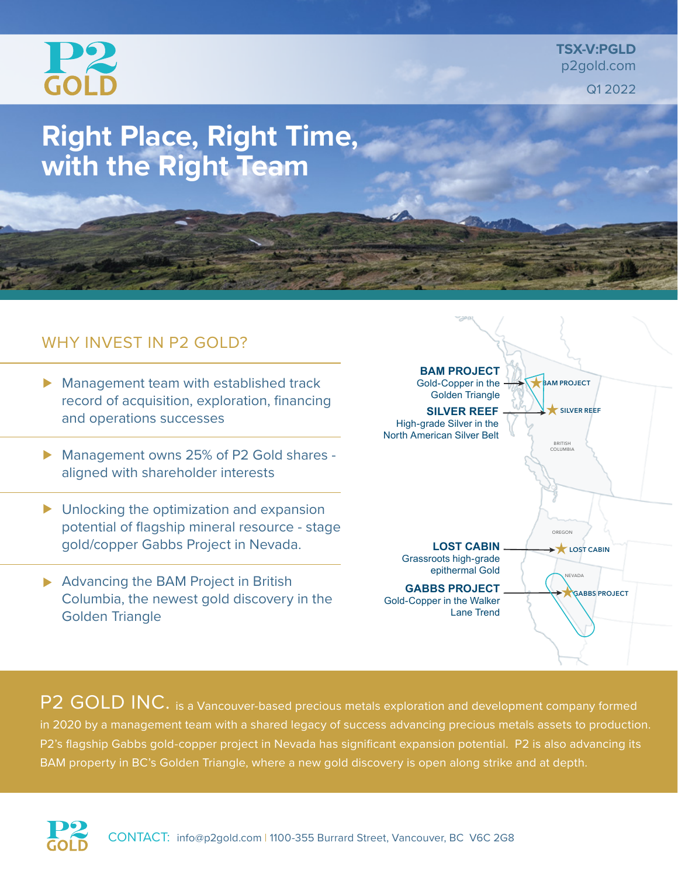

**TSX-V:PGLD** p2gold.com Q1 2022

# **Right Place, Right Time, with the Right Team**

## WHY INVEST IN P2 GOLD?

- **Management team with established track** record of acquisition, exploration, financing and operations successes
- Management owns 25% of P2 Gold shares aligned with shareholder interests
- ▶ Unlocking the optimization and expansion potential of flagship mineral resource - stage gold/copper Gabbs Project in Nevada.
- Advancing the BAM Project in British Columbia, the newest gold discovery in the Golden Triangle



P2 GOLD INC. is a Vancouver-based precious metals exploration and development company formed in 2020 by a management team with a shared legacy of success advancing precious metals assets to production. P2's flagship Gabbs gold-copper project in Nevada has significant expansion potential. P2 is also advancing its BAM property in BC's Golden Triangle, where a new gold discovery is open along strike and at depth.